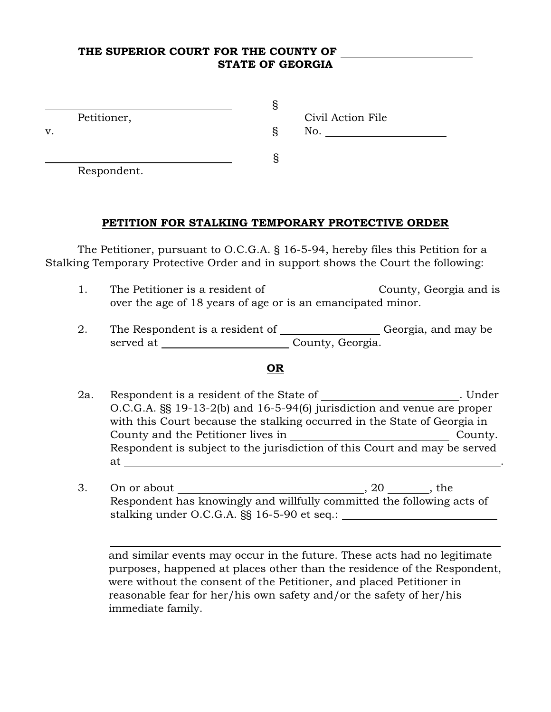### THE SUPERIOR COURT FOR THE COUNTY OF STATE OF GEORGIA

|    | Petitioner, | Civil Action File |
|----|-------------|-------------------|
| v. |             | No.               |
|    |             |                   |

Respondent.

 $\overline{a}$ 

 $\sim$  S

#### PETITION FOR STALKING TEMPORARY PROTECTIVE ORDER

The Petitioner, pursuant to O.C.G.A. § 16-5-94, hereby files this Petition for a Stalking Temporary Protective Order and in support shows the Court the following:

- 1. The Petitioner is a resident of \_\_\_\_\_\_\_\_\_\_\_\_\_\_\_\_\_\_\_\_\_\_\_\_\_ County, Georgia and is over the age of 18 years of age or is an emancipated minor.
- 2. The Respondent is a resident of \_\_\_\_\_\_\_\_\_\_\_\_\_\_\_\_\_\_Georgia, and may be served at County, Georgia.

#### OR

- 2a. Respondent is a resident of the State of . Under O.C.G.A. §§ 19-13-2(b) and 16-5-94(6) jurisdiction and venue are proper with this Court because the stalking occurred in the State of Georgia in County and the Petitioner lives in Theorem County. Respondent is subject to the jurisdiction of this Court and may be served at <u>\_\_\_\_\_\_\_\_\_\_\_\_\_\_\_\_\_\_\_\_\_\_\_\_\_</u>
- 3. On or about , 20 , the Respondent has knowingly and willfully committed the following acts of stalking under O.C.G.A. §§ 16-5-90 et seq.:

and similar events may occur in the future. These acts had no legitimate purposes, happened at places other than the residence of the Respondent, were without the consent of the Petitioner, and placed Petitioner in reasonable fear for her/his own safety and/or the safety of her/his immediate family.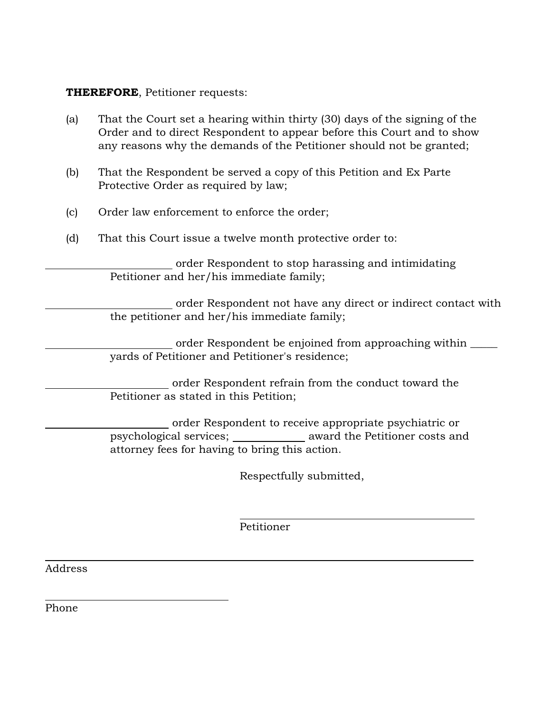# THEREFORE, Petitioner requests:

- (a) That the Court set a hearing within thirty (30) days of the signing of the Order and to direct Respondent to appear before this Court and to show any reasons why the demands of the Petitioner should not be granted;
- (b) That the Respondent be served a copy of this Petition and Ex Parte Protective Order as required by law;
- (c) Order law enforcement to enforce the order;
- (d) That this Court issue a twelve month protective order to:

 order Respondent to stop harassing and intimidating Petitioner and her/his immediate family;

 order Respondent not have any direct or indirect contact with the petitioner and her/his immediate family;

order Respondent be enjoined from approaching within \_\_\_\_\_ yards of Petitioner and Petitioner's residence;

 order Respondent refrain from the conduct toward the Petitioner as stated in this Petition;

 order Respondent to receive appropriate psychiatric or psychological services; award the Petitioner costs and attorney fees for having to bring this action.

Respectfully submitted,

Petitioner

 $\overline{a}$ 

Address

l

 $\overline{a}$ 

Phone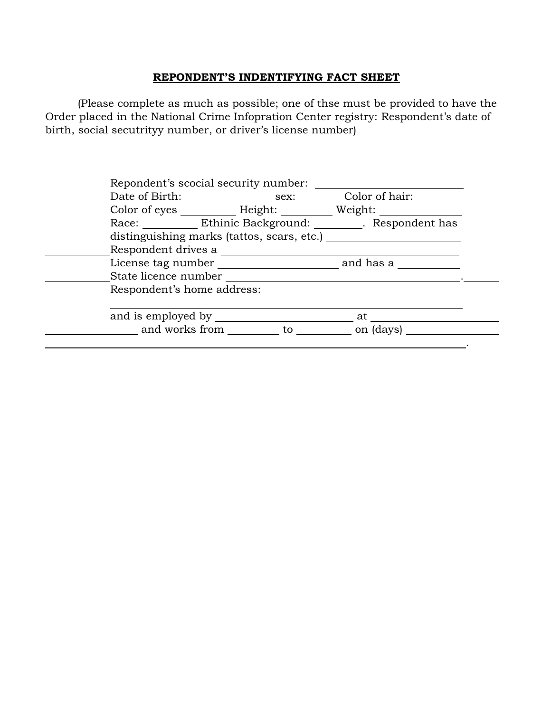# REPONDENT'S INDENTIFYING FACT SHEET

(Please complete as much as possible; one of thse must be provided to have the Order placed in the National Crime Infopration Center registry: Respondent's date of birth, social secutrityy number, or driver's license number)

|                                            |  |  | Color of eyes _____________ Height: ____________ Weight: _______________________ |  |  |
|--------------------------------------------|--|--|----------------------------------------------------------------------------------|--|--|
|                                            |  |  | Race: Ethinic Background: Respondent has                                         |  |  |
| distinguishing marks (tattos, scars, etc.) |  |  |                                                                                  |  |  |
| Respondent drives a                        |  |  |                                                                                  |  |  |
|                                            |  |  | License tag number and has a                                                     |  |  |
|                                            |  |  |                                                                                  |  |  |
| Respondent's home address:                 |  |  |                                                                                  |  |  |
| and is employed by _____                   |  |  | at                                                                               |  |  |
|                                            |  |  | and works from to to the on (days)                                               |  |  |